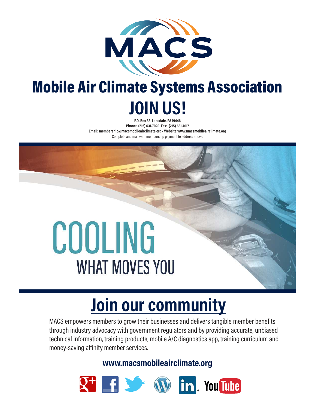

## Mobile Air Climate Systems Association **JOIN US!**

**P.O. Box 88 Lansdale, PA 19446 Phone: (215) 631-7020 Fax: (215) 631-7017 Email: membership@macsmobileairclimate.org • Website:www.macsmobileairclimate.org** Complete and mail with membership payment to address above.

# COOLING **WHAT MOVES YOU**

# **Join our community**

MACS empowers members to grow their businesses and delivers tangible member benefits through industry advocacy with government regulators and by providing accurate, unbiased technical information, training products, mobile A/C diagnostics app, training curriculum and money-saving affinity member services.

**www.macsmobileairclimate.org**